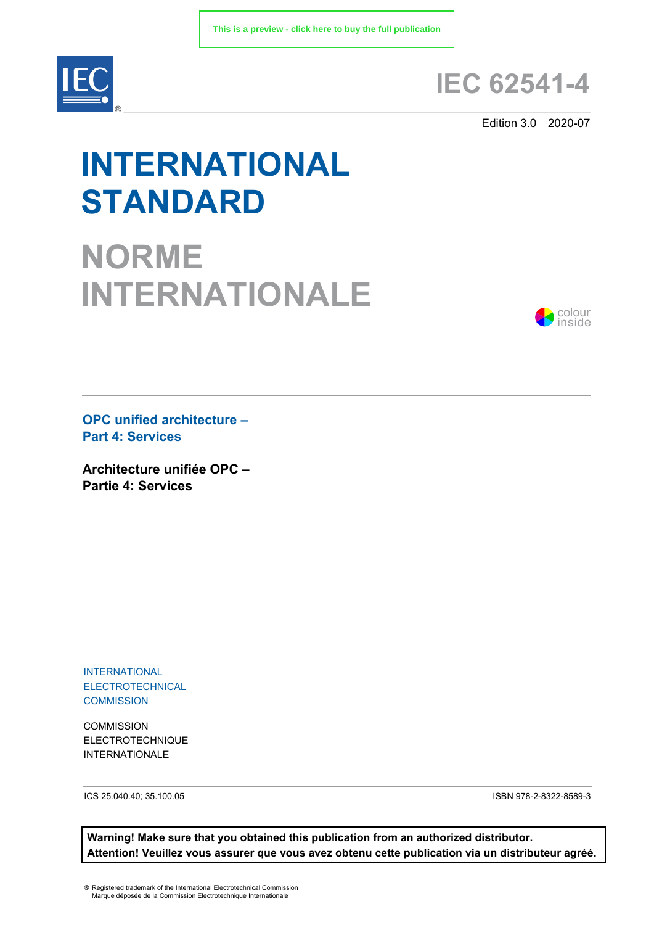

# **IEC 62541-4**

Edition 3.0 2020-07

# **INTERNATIONAL STANDARD**

**NORME INTERNATIONALE**



**OPC unified architecture – Part 4: Services** 

**Architecture unifiée OPC – Partie 4: Services**

INTERNATIONAL ELECTROTECHNICAL **COMMISSION** 

**COMMISSION** ELECTROTECHNIQUE INTERNATIONALE

ICS 25.040.40; 35.100.05 ISBN 978-2-8322-8589-3

**Warning! Make sure that you obtained this publication from an authorized distributor. Attention! Veuillez vous assurer que vous avez obtenu cette publication via un distributeur agréé.**

® Registered trademark of the International Electrotechnical Commission Marque déposée de la Commission Electrotechnique Internationale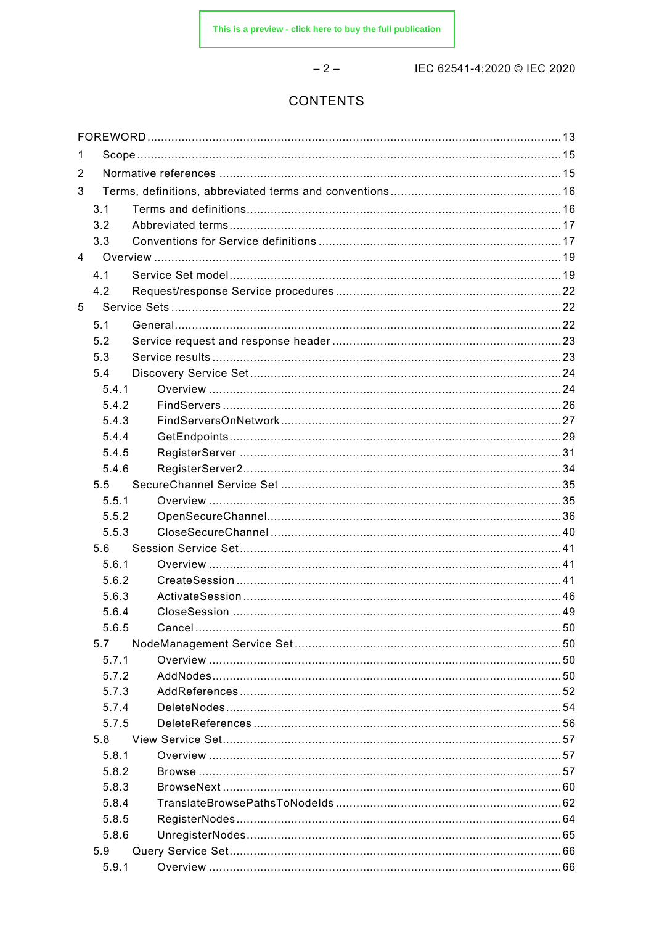$-2-$ 

IEC 62541-4:2020 © IEC 2020

# CONTENTS

| 1              |       |  |  |  |
|----------------|-------|--|--|--|
| 2              |       |  |  |  |
| 3              |       |  |  |  |
|                | 3.1   |  |  |  |
|                | 3.2   |  |  |  |
|                | 3.3   |  |  |  |
| $\overline{4}$ |       |  |  |  |
|                | 4.1   |  |  |  |
|                | 4.2   |  |  |  |
| 5              |       |  |  |  |
|                | 5.1   |  |  |  |
|                | 5.2   |  |  |  |
|                | 5.3   |  |  |  |
|                | 5.4   |  |  |  |
|                | 5.4.1 |  |  |  |
|                | 5.4.2 |  |  |  |
|                | 5.4.3 |  |  |  |
|                | 5.4.4 |  |  |  |
|                | 5.4.5 |  |  |  |
|                | 5.4.6 |  |  |  |
|                | 5.5   |  |  |  |
|                | 5.5.1 |  |  |  |
|                | 5.5.2 |  |  |  |
|                | 5.5.3 |  |  |  |
|                | 5.6   |  |  |  |
|                | 5.6.1 |  |  |  |
|                | 5.6.2 |  |  |  |
|                | 5.6.3 |  |  |  |
|                | 5.6.4 |  |  |  |
|                | 5.6.5 |  |  |  |
|                | 5.7   |  |  |  |
|                | 5.7.1 |  |  |  |
|                | 5.7.2 |  |  |  |
|                | 5.7.3 |  |  |  |
|                | 5.7.4 |  |  |  |
|                | 5.7.5 |  |  |  |
|                | 5.8   |  |  |  |
|                | 5.8.1 |  |  |  |
|                | 5.8.2 |  |  |  |
|                | 5.8.3 |  |  |  |
|                | 5.8.4 |  |  |  |
|                | 5.8.5 |  |  |  |
|                | 5.8.6 |  |  |  |
|                | 5.9   |  |  |  |
|                | 5.9.1 |  |  |  |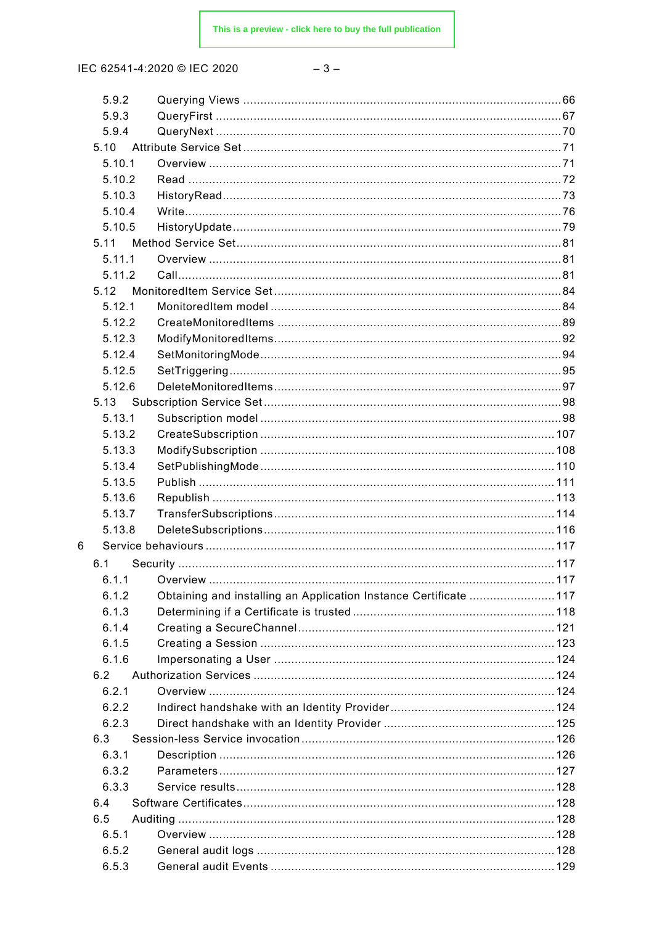|   | 5.9.2  |                                                                  |  |
|---|--------|------------------------------------------------------------------|--|
|   | 5.9.3  |                                                                  |  |
|   | 5.9.4  |                                                                  |  |
|   | 5.10   |                                                                  |  |
|   | 5.10.1 |                                                                  |  |
|   | 5.10.2 |                                                                  |  |
|   | 5.10.3 |                                                                  |  |
|   | 5.10.4 |                                                                  |  |
|   | 5.10.5 |                                                                  |  |
|   | 5.11   |                                                                  |  |
|   | 5.11.1 |                                                                  |  |
|   | 5.11.2 |                                                                  |  |
|   | 5.12   |                                                                  |  |
|   | 5.12.1 |                                                                  |  |
|   | 5.12.2 |                                                                  |  |
|   | 5.12.3 |                                                                  |  |
|   | 5.12.4 |                                                                  |  |
|   | 5.12.5 |                                                                  |  |
|   | 5.12.6 |                                                                  |  |
|   | 5.13   |                                                                  |  |
|   | 5.13.1 |                                                                  |  |
|   | 5.13.2 |                                                                  |  |
|   | 5.13.3 |                                                                  |  |
|   | 5.13.4 |                                                                  |  |
|   | 5.13.5 |                                                                  |  |
|   | 5.13.6 |                                                                  |  |
|   | 5.13.7 |                                                                  |  |
|   | 5.13.8 |                                                                  |  |
| 6 |        |                                                                  |  |
|   | 6.1    |                                                                  |  |
|   |        |                                                                  |  |
|   | 6.1.2  | Obtaining and installing an Application Instance Certificate 117 |  |
|   | 6.1.3  |                                                                  |  |
|   | 6.1.4  |                                                                  |  |
|   | 6.1.5  |                                                                  |  |
|   | 6.1.6  |                                                                  |  |
|   | 6.2    |                                                                  |  |
|   | 6.2.1  |                                                                  |  |
|   | 6.2.2  |                                                                  |  |
|   | 6.2.3  |                                                                  |  |
|   | 6.3    |                                                                  |  |
|   | 6.3.1  |                                                                  |  |
|   | 6.3.2  |                                                                  |  |
|   | 6.3.3  |                                                                  |  |
|   | 6.4    |                                                                  |  |
|   | 6.5    |                                                                  |  |
|   | 6.5.1  |                                                                  |  |
|   | 6.5.2  |                                                                  |  |
|   | 6.5.3  |                                                                  |  |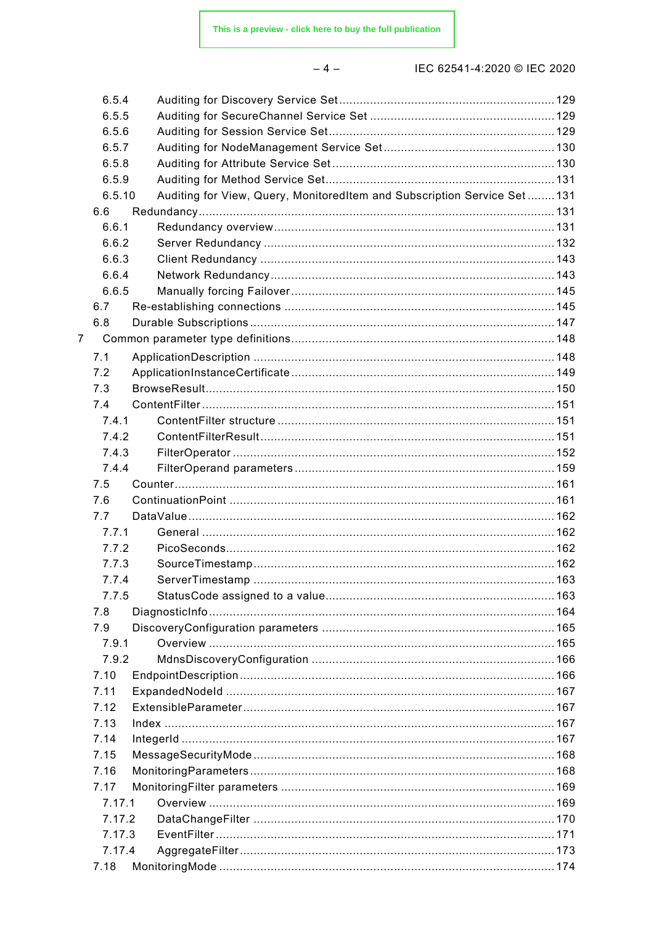#### $-4-$

|                | 6.5.4  |                                                                          |  |
|----------------|--------|--------------------------------------------------------------------------|--|
|                | 6.5.5  |                                                                          |  |
|                | 6.5.6  |                                                                          |  |
|                | 6.5.7  |                                                                          |  |
|                | 6.5.8  |                                                                          |  |
|                | 6.5.9  |                                                                          |  |
|                | 6.5.10 | Auditing for View, Query, MonitoredItem and Subscription Service Set 131 |  |
|                | 6.6    |                                                                          |  |
|                | 6.6.1  |                                                                          |  |
|                | 6.6.2  |                                                                          |  |
|                | 6.6.3  |                                                                          |  |
|                | 6.6.4  |                                                                          |  |
|                | 6.6.5  |                                                                          |  |
|                | 6.7    |                                                                          |  |
|                | 6.8    |                                                                          |  |
| $\overline{7}$ |        |                                                                          |  |
|                | 7.1    |                                                                          |  |
|                | 7.2    |                                                                          |  |
|                | 7.3    |                                                                          |  |
|                | 7.4    |                                                                          |  |
|                | 7.4.1  |                                                                          |  |
|                | 7.4.2  |                                                                          |  |
|                | 7.4.3  |                                                                          |  |
|                | 7.4.4  |                                                                          |  |
|                | 7.5    |                                                                          |  |
|                | 7.6    |                                                                          |  |
|                | 7.7    |                                                                          |  |
|                | 7.7.1  |                                                                          |  |
|                | 7.7.2  |                                                                          |  |
|                | 7.7.3  |                                                                          |  |
|                | 7.7.4  |                                                                          |  |
|                | 7.7.5  |                                                                          |  |
|                | 7.8    |                                                                          |  |
|                | 7.9    |                                                                          |  |
|                | 7.9.1  |                                                                          |  |
|                | 7.9.2  |                                                                          |  |
|                | 7.10   |                                                                          |  |
|                | 7.11   |                                                                          |  |
|                | 7.12   |                                                                          |  |
|                | 7.13   |                                                                          |  |
|                | 7.14   |                                                                          |  |
|                | 7.15   |                                                                          |  |
|                | 7.16   |                                                                          |  |
|                | 7.17   |                                                                          |  |
|                | 7.17.1 |                                                                          |  |
|                | 7.17.2 |                                                                          |  |
|                | 7.17.3 |                                                                          |  |
|                | 7.17.4 |                                                                          |  |
|                | 7.18   |                                                                          |  |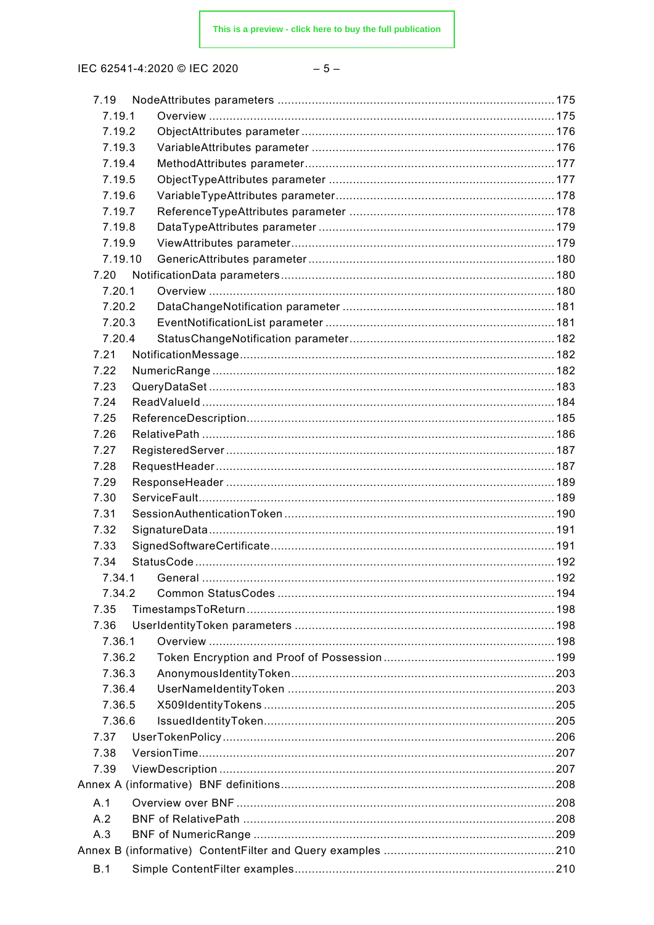|  | ×<br>۰. |  |
|--|---------|--|
|--|---------|--|

| 7.19    |  |  |
|---------|--|--|
| 7.19.1  |  |  |
| 7.19.2  |  |  |
| 7.19.3  |  |  |
| 7.19.4  |  |  |
| 7.19.5  |  |  |
| 7.19.6  |  |  |
| 7.19.7  |  |  |
| 7.19.8  |  |  |
| 7.19.9  |  |  |
| 7.19.10 |  |  |
| 7.20    |  |  |
| 7.20.1  |  |  |
| 7.20.2  |  |  |
| 7.20.3  |  |  |
| 7.20.4  |  |  |
| 7.21    |  |  |
| 7.22    |  |  |
| 7.23    |  |  |
| 7.24    |  |  |
| 7.25    |  |  |
| 7.26    |  |  |
| 7.27    |  |  |
| 7.28    |  |  |
| 7.29    |  |  |
| 7.30    |  |  |
| 7.31    |  |  |
| 7.32    |  |  |
| 7.33    |  |  |
| 7.34    |  |  |
| 7.34.1  |  |  |
| 7.34.2  |  |  |
| 7.35    |  |  |
| 7.36    |  |  |
| 7.36.1  |  |  |
| 7.36.2  |  |  |
| 7.36.3  |  |  |
| 7.36.4  |  |  |
| 7.36.5  |  |  |
| 7.36.6  |  |  |
| 7.37    |  |  |
| 7.38    |  |  |
| 7.39    |  |  |
|         |  |  |
| A.1     |  |  |
| A.2     |  |  |
| A.3     |  |  |
|         |  |  |
| B.1     |  |  |
|         |  |  |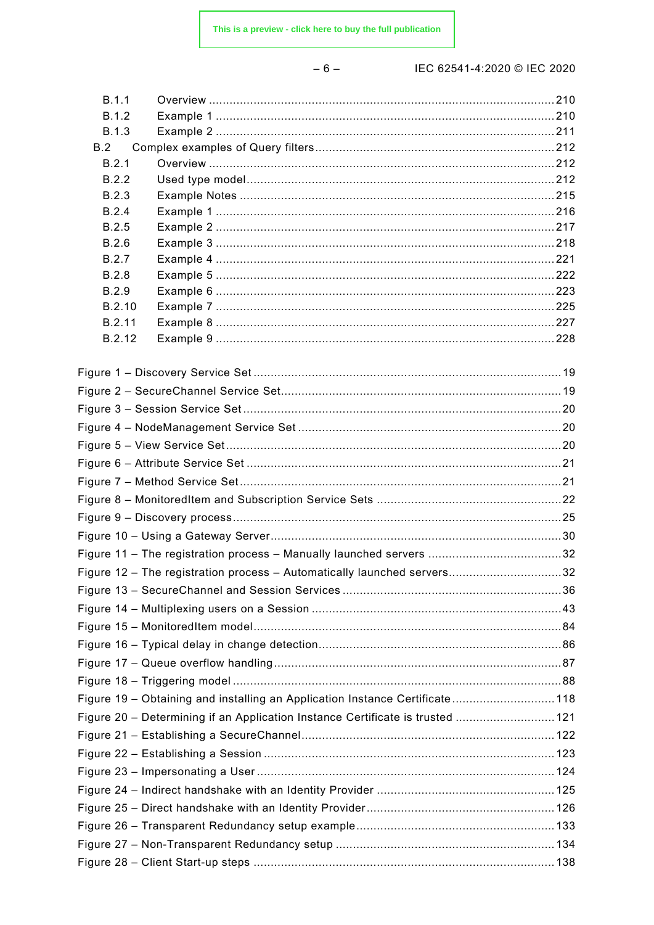|--|--|--|

| B.1.1          |                                                                                |  |
|----------------|--------------------------------------------------------------------------------|--|
| B.1.2          |                                                                                |  |
| <b>B.1.3</b>   |                                                                                |  |
| B.2            |                                                                                |  |
| B.2.1          |                                                                                |  |
| B.2.2          |                                                                                |  |
| B.2.3          |                                                                                |  |
| B.2.4          |                                                                                |  |
| B.2.5<br>B.2.6 |                                                                                |  |
| B.2.7          |                                                                                |  |
| B.2.8          |                                                                                |  |
| <b>B.2.9</b>   |                                                                                |  |
| B.2.10         |                                                                                |  |
| B.2.11         |                                                                                |  |
| B.2.12         |                                                                                |  |
|                |                                                                                |  |
|                |                                                                                |  |
|                |                                                                                |  |
|                |                                                                                |  |
|                |                                                                                |  |
|                |                                                                                |  |
|                |                                                                                |  |
|                |                                                                                |  |
|                |                                                                                |  |
|                |                                                                                |  |
|                |                                                                                |  |
|                |                                                                                |  |
|                | Figure 12 - The registration process - Automatically launched servers32        |  |
|                |                                                                                |  |
|                |                                                                                |  |
|                |                                                                                |  |
|                |                                                                                |  |
|                |                                                                                |  |
|                |                                                                                |  |
|                |                                                                                |  |
|                | Figure 19 - Obtaining and installing an Application Instance Certificate118    |  |
|                | Figure 20 - Determining if an Application Instance Certificate is trusted  121 |  |
|                |                                                                                |  |
|                |                                                                                |  |
|                |                                                                                |  |
|                |                                                                                |  |
|                |                                                                                |  |
|                |                                                                                |  |
|                |                                                                                |  |
|                |                                                                                |  |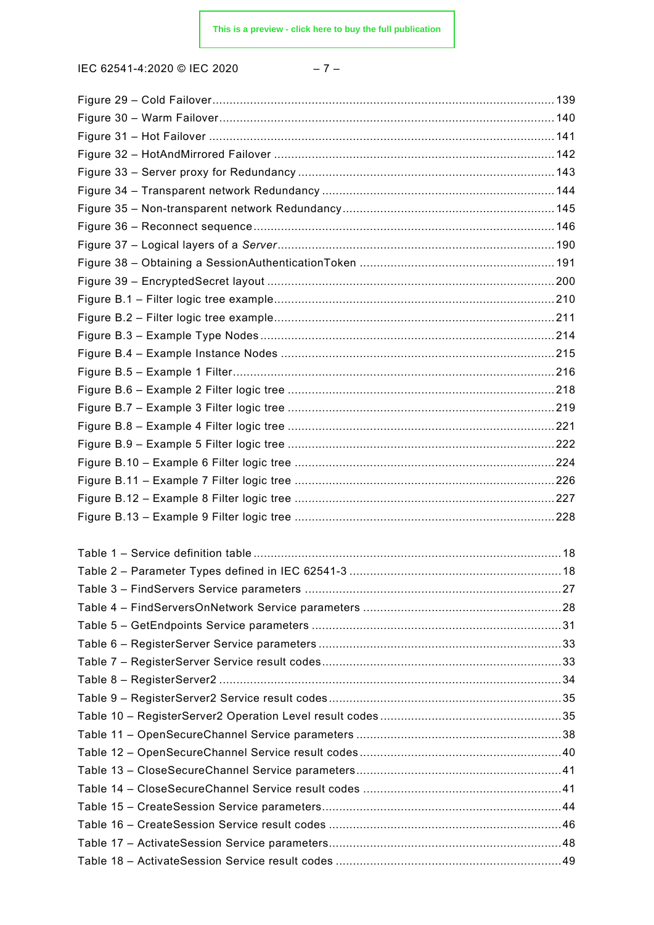IEC 62541-4:2020 © IEC 2020 – 7 –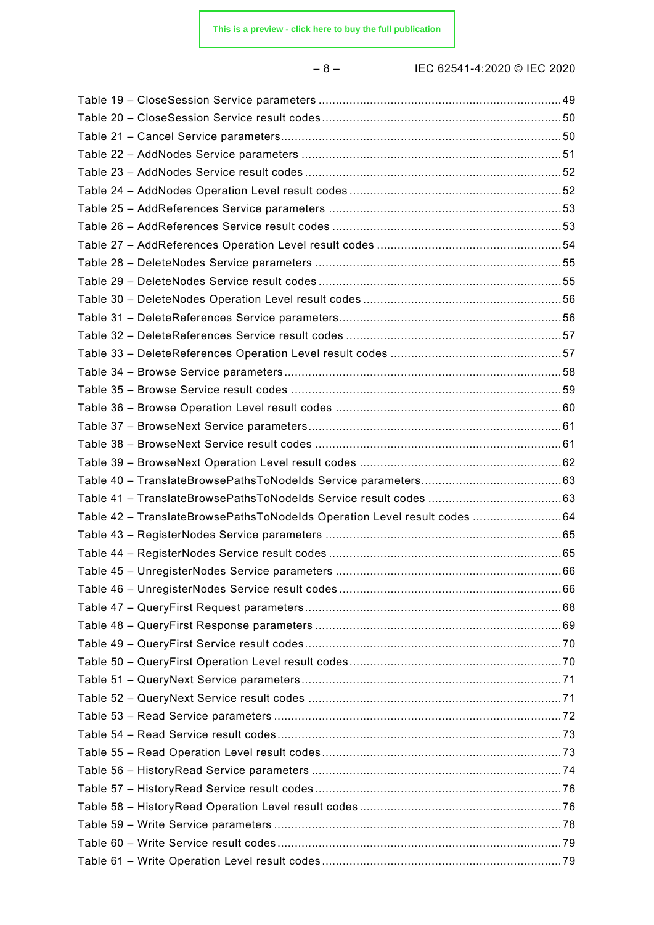– 8 – IEC 62541-4:2020 © IEC 2020

| Table 42 - TranslateBrowsePathsToNodeIds Operation Level result codes 64 |  |
|--------------------------------------------------------------------------|--|
|                                                                          |  |
|                                                                          |  |
|                                                                          |  |
|                                                                          |  |
|                                                                          |  |
|                                                                          |  |
|                                                                          |  |
|                                                                          |  |
|                                                                          |  |
|                                                                          |  |
|                                                                          |  |
|                                                                          |  |
|                                                                          |  |
|                                                                          |  |
|                                                                          |  |
|                                                                          |  |
|                                                                          |  |
|                                                                          |  |
|                                                                          |  |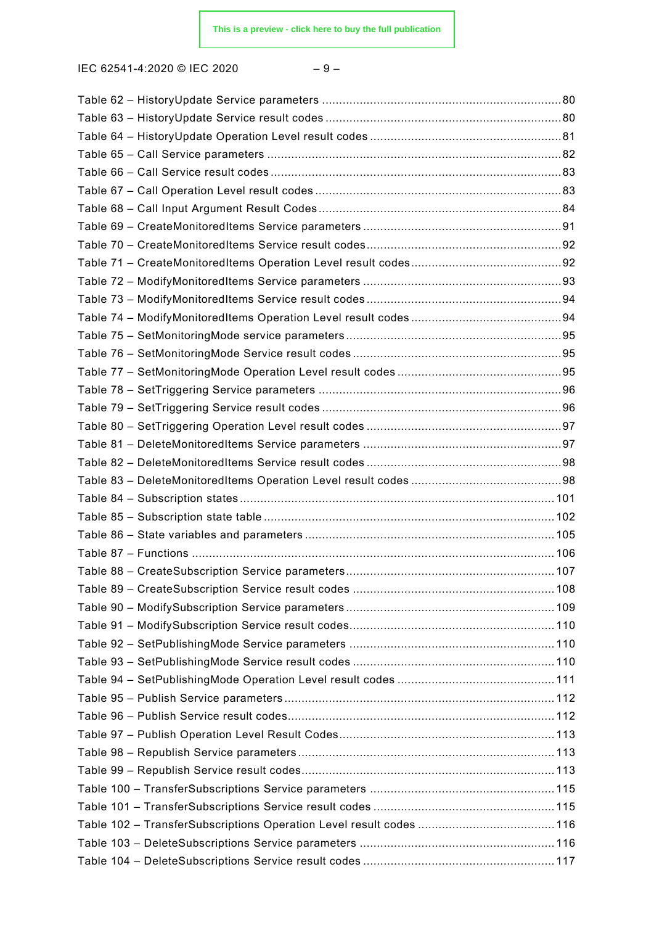IEC 62541-4:2020 © IEC 2020 – 9 –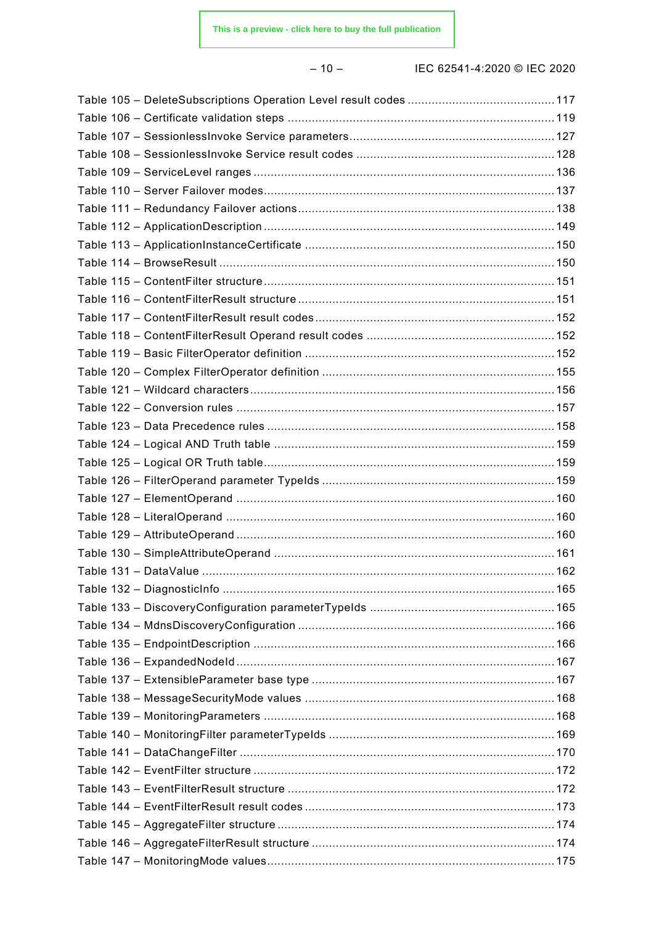– 10 – IEC 62541-4:2020 © IEC 2020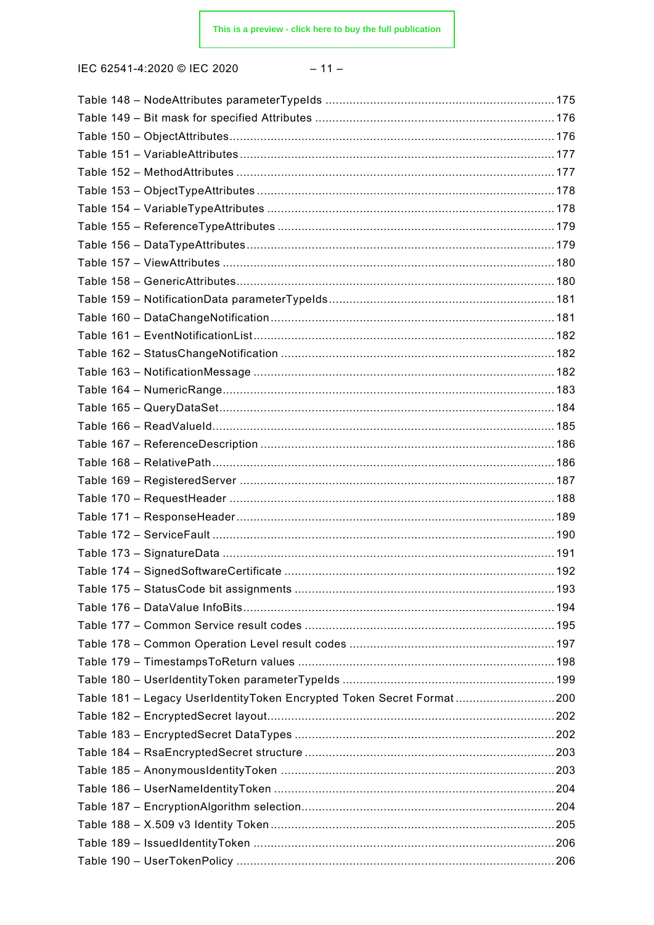$$
-11-
$$

| Table 181 - Legacy UserIdentityToken Encrypted Token Secret Format200 |  |
|-----------------------------------------------------------------------|--|
|                                                                       |  |
|                                                                       |  |
|                                                                       |  |
|                                                                       |  |
|                                                                       |  |
|                                                                       |  |
|                                                                       |  |
|                                                                       |  |
|                                                                       |  |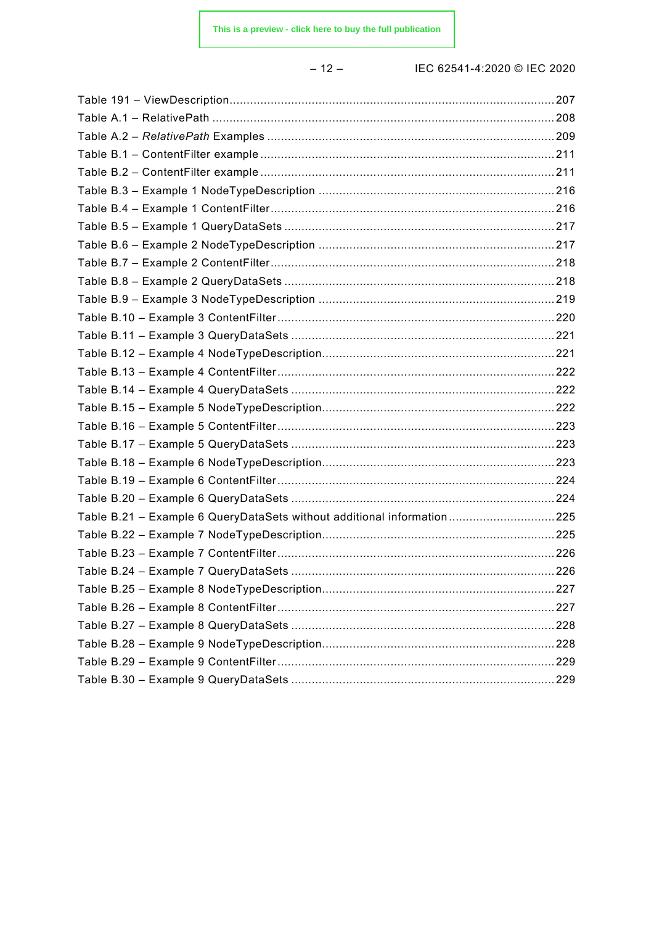– 12 – IEC 62541-4:2020 © IEC 2020

| Table B.21 - Example 6 QueryDataSets without additional information225 |  |
|------------------------------------------------------------------------|--|
|                                                                        |  |
|                                                                        |  |
|                                                                        |  |
|                                                                        |  |
|                                                                        |  |
|                                                                        |  |
|                                                                        |  |
|                                                                        |  |
|                                                                        |  |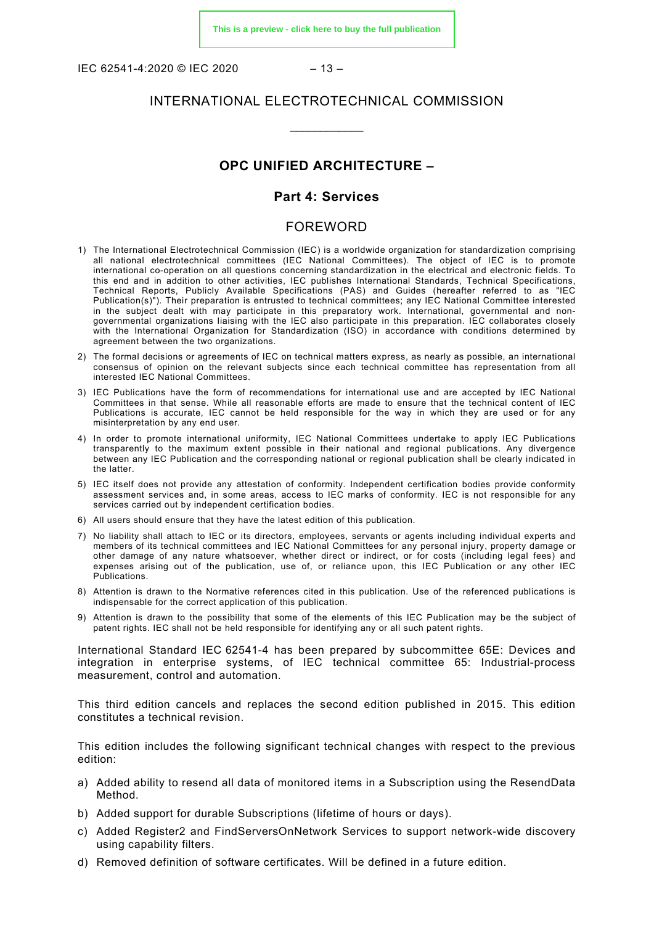IEC 62541-4:2020 © IEC 2020  $-13-$ 

#### INTERNATIONAL ELECTROTECHNICAL COMMISSION

\_\_\_\_\_\_\_\_\_\_\_\_

# **OPC UNIFIED ARCHITECTURE –**

## **Part 4: Services**

## FOREWORD

- <span id="page-12-0"></span>1) The International Electrotechnical Commission (IEC) is a worldwide organization for standardization comprising all national electrotechnical committees (IEC National Committees). The object of IEC is to promote international co-operation on all questions concerning standardization in the electrical and electronic fields. To this end and in addition to other activities, IEC publishes International Standards, Technical Specifications, Technical Reports, Publicly Available Specifications (PAS) and Guides (hereafter referred to as "IEC Publication(s)"). Their preparation is entrusted to technical committees; any IEC National Committee interested in the subject dealt with may participate in this preparatory work. International, governmental and nongovernmental organizations liaising with the IEC also participate in this preparation. IEC collaborates closely with the International Organization for Standardization (ISO) in accordance with conditions determined by agreement between the two organizations.
- 2) The formal decisions or agreements of IEC on technical matters express, as nearly as possible, an international consensus of opinion on the relevant subjects since each technical committee has representation from all interested IEC National Committees.
- 3) IEC Publications have the form of recommendations for international use and are accepted by IEC National Committees in that sense. While all reasonable efforts are made to ensure that the technical content of IEC Publications is accurate, IEC cannot be held responsible for the way in which they are used or for any misinterpretation by any end user.
- 4) In order to promote international uniformity, IEC National Committees undertake to apply IEC Publications transparently to the maximum extent possible in their national and regional publications. Any divergence between any IEC Publication and the corresponding national or regional publication shall be clearly indicated in the latter.
- 5) IEC itself does not provide any attestation of conformity. Independent certification bodies provide conformity assessment services and, in some areas, access to IEC marks of conformity. IEC is not responsible for any services carried out by independent certification bodies.
- 6) All users should ensure that they have the latest edition of this publication.
- 7) No liability shall attach to IEC or its directors, employees, servants or agents including individual experts and members of its technical committees and IEC National Committees for any personal injury, property damage or other damage of any nature whatsoever, whether direct or indirect, or for costs (including legal fees) and expenses arising out of the publication, use of, or reliance upon, this IEC Publication or any other IEC Publications.
- 8) Attention is drawn to the Normative references cited in this publication. Use of the referenced publications is indispensable for the correct application of this publication.
- 9) Attention is drawn to the possibility that some of the elements of this IEC Publication may be the subject of patent rights. IEC shall not be held responsible for identifying any or all such patent rights.

International Standard IEC 62541-4 has been prepared by subcommittee 65E: Devices and integration in enterprise systems, of IEC technical committee 65: Industrial-process measurement, control and automation.

This third edition cancels and replaces the second edition published in 2015. This edition constitutes a technical revision.

This edition includes the following significant technical changes with respect to the previous edition:

- a) Added ability to resend all data of monitored items in a Subscription using the ResendData Method.
- b) Added support for durable Subscriptions (lifetime of hours or days).
- c) Added Register2 and FindServersOnNetwork Services to support network-wide discovery using capability filters.
- d) Removed definition of software certificates. Will be defined in a future edition.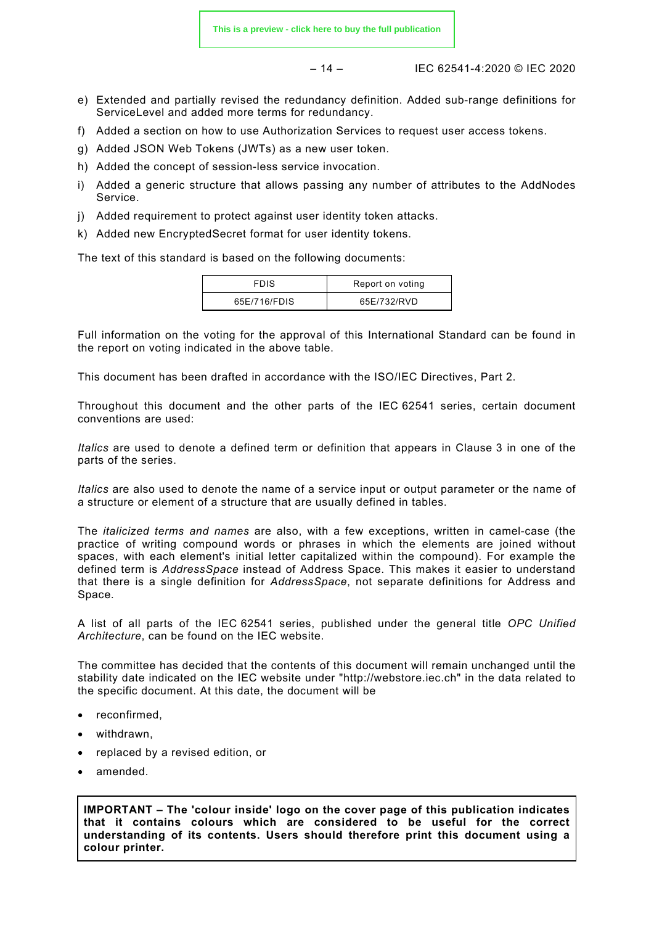– 14 – IEC 62541-4:2020 © IEC 2020

- e) Extended and partially revised the redundancy definition. Added sub-range definitions for ServiceLevel and added more terms for redundancy.
- f) Added a section on how to use Authorization Services to request user access tokens.
- g) Added JSON Web Tokens (JWTs) as a new user token.
- h) Added the concept of session-less service invocation.
- i) Added a generic structure that allows passing any number of attributes to the AddNodes Service.
- j) Added requirement to protect against user identity token attacks.
- k) Added new EncryptedSecret format for user identity tokens.

The text of this standard is based on the following documents:

| <b>FDIS</b>  | Report on voting |
|--------------|------------------|
| 65E/716/FDIS | 65E/732/RVD      |

Full information on the voting for the approval of this International Standard can be found in the report on voting indicated in the above table.

This document has been drafted in accordance with the ISO/IEC Directives, Part 2.

Throughout this document and the other parts of the IEC 62541 series, certain document conventions are used:

*Italics* are used to denote a defined term or definition that appears in Clause 3 in one of the parts of the series.

*Italics* are also used to denote the name of a service input or output parameter or the name of a structure or element of a structure that are usually defined in tables.

The *italicized terms and names* are also, with a few exceptions, written in camel-case (the practice of writing compound words or phrases in which the elements are joined without spaces, with each element's initial letter capitalized within the compound). For example the defined term is *AddressSpace* instead of Address Space. This makes it easier to understand that there is a single definition for *AddressSpace*, not separate definitions for Address and Space.

A list of all parts of the IEC 62541 series, published under the general title *OPC Unified Architecture*, can be found on the IEC website.

The committee has decided that the contents of this document will remain unchanged until the stability date indicated on the IEC website under "http://webstore.iec.ch" in the data related to the specific document. At this date, the document will be

- reconfirmed,
- withdrawn,
- replaced by a revised edition, or
- amended.

**IMPORTANT – The 'colour inside' logo on the cover page of this publication indicates that it contains colours which are considered to be useful for the correct understanding of its contents. Users should therefore print this document using a colour printer.**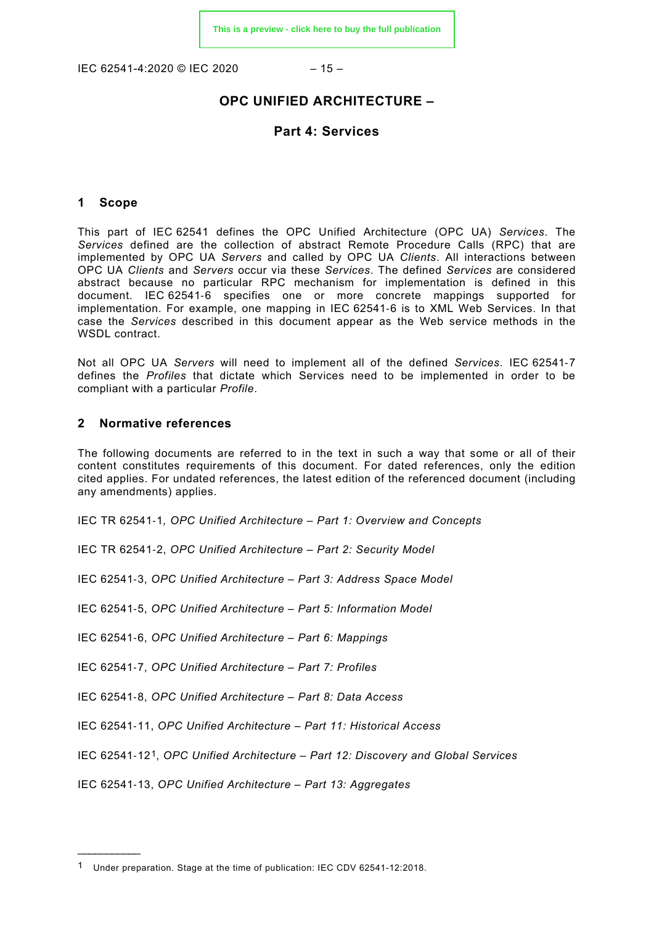IEC 62541-4:2020 © IEC 2020  $-15-$ 

# **OPC UNIFIED ARCHITECTURE –**

# **Part 4: Services**

#### <span id="page-14-0"></span>**1 Scope**

\_\_\_\_\_\_\_\_\_\_\_\_\_

This part of IEC 62541 defines the OPC Unified Architecture (OPC UA) *Services*. The *Services* defined are the collection of abstract Remote Procedure Calls (RPC) that are implemented by OPC UA *Servers* and called by OPC UA *Clients*. All interactions between OPC UA *Clients* and *Servers* occur via these *Services*. The defined *Services* are considered abstract because no particular RPC mechanism for implementation is defined in this document. IEC [62541](#page-14-2)‑6 specifies one or more concrete mappings supported for implementation. For example, one mapping in IEC [62541](#page-14-2)-6 is to XML Web Services. In that case the *Services* described in this document appear as the Web service methods in the WSDL contract.

Not all OPC UA *Servers* will need to implement all of the defined *Services*. IEC [62541](#page-14-3)‑7 defines the *Profiles* that dictate which Services need to be implemented in order to be compliant with a particular *Profile*.

#### <span id="page-14-1"></span>**2 Normative references**

The following documents are referred to in the text in such a way that some or all of their content constitutes requirements of this document. For dated references, only the edition cited applies. For undated references, the latest edition of the referenced document (including any amendments) applies.

IEC TR 62541‑1*, OPC Unified Architecture – Part 1: Overview and Concepts*

IEC TR 62541‑2, *OPC Unified Architecture – Part 2: Security Model*

IEC 62541‑3, *OPC Unified Architecture – Part 3: Address Space Model* 

IEC 62541‑5, *OPC Unified Architecture – Part 5: Information Model*

<span id="page-14-2"></span>IEC 62541‑6, *OPC Unified Architecture – Part 6: Mappings*

<span id="page-14-3"></span>IEC 62541‑7, *OPC Unified Architecture – Part 7: Profiles*

IEC 62541‑8, *OPC Unified Architecture – Part 8: Data Access*

IEC 62541‑11, *OPC Unified Architecture – Part 11: Historical Access*

IEC 62541‑12[1](#page-14-4), *OPC Unified Architecture – Part 12: Discovery and Global Services*

IEC 62541‑13, *OPC Unified Architecture – Part 13: Aggregates*

<span id="page-14-4"></span><sup>1</sup> Under preparation. Stage at the time of publication: IEC CDV 62541-12:2018.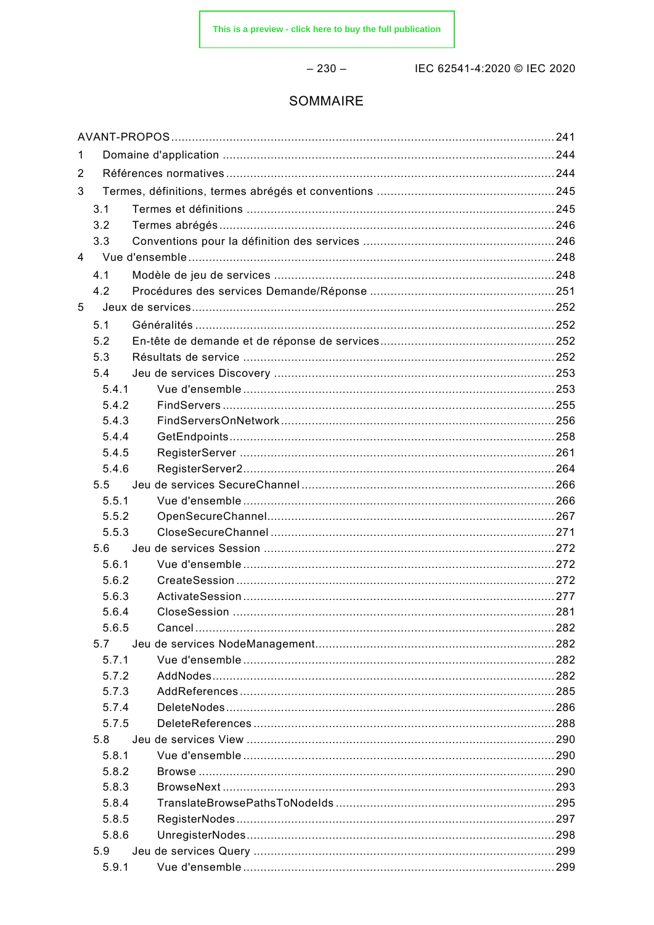# $-230-$

IEC 62541-4:2020 © IEC 2020

# SOMMAIRE

| 1 |       |  |  |
|---|-------|--|--|
| 2 |       |  |  |
| 3 |       |  |  |
|   | 3.1   |  |  |
|   | 3.2   |  |  |
|   | 3.3   |  |  |
| 4 |       |  |  |
|   | 4.1   |  |  |
|   | 4.2   |  |  |
| 5 |       |  |  |
|   | 5.1   |  |  |
|   | 5.2   |  |  |
|   | 5.3   |  |  |
|   | 5.4   |  |  |
|   | 5.4.1 |  |  |
|   | 5.4.2 |  |  |
|   | 5.4.3 |  |  |
|   | 5.4.4 |  |  |
|   | 5.4.5 |  |  |
|   | 5.4.6 |  |  |
|   | 5.5   |  |  |
|   | 5.5.1 |  |  |
|   | 5.5.2 |  |  |
|   | 5.5.3 |  |  |
|   | 5.6   |  |  |
|   | 5.6.1 |  |  |
|   | 5.6.2 |  |  |
|   | 5.6.3 |  |  |
|   | 5.6.4 |  |  |
|   | 5.6.5 |  |  |
|   | 5.7   |  |  |
|   | 5.7.1 |  |  |
|   | 5.7.2 |  |  |
|   | 5.7.3 |  |  |
|   | 5.7.4 |  |  |
|   | 5.7.5 |  |  |
|   | 5.8   |  |  |
|   | 5.8.1 |  |  |
|   | 5.8.2 |  |  |
|   | 5.8.3 |  |  |
|   | 5.8.4 |  |  |
|   | 5.8.5 |  |  |
|   | 5.8.6 |  |  |
|   | 5.9   |  |  |
|   | 5.9.1 |  |  |
|   |       |  |  |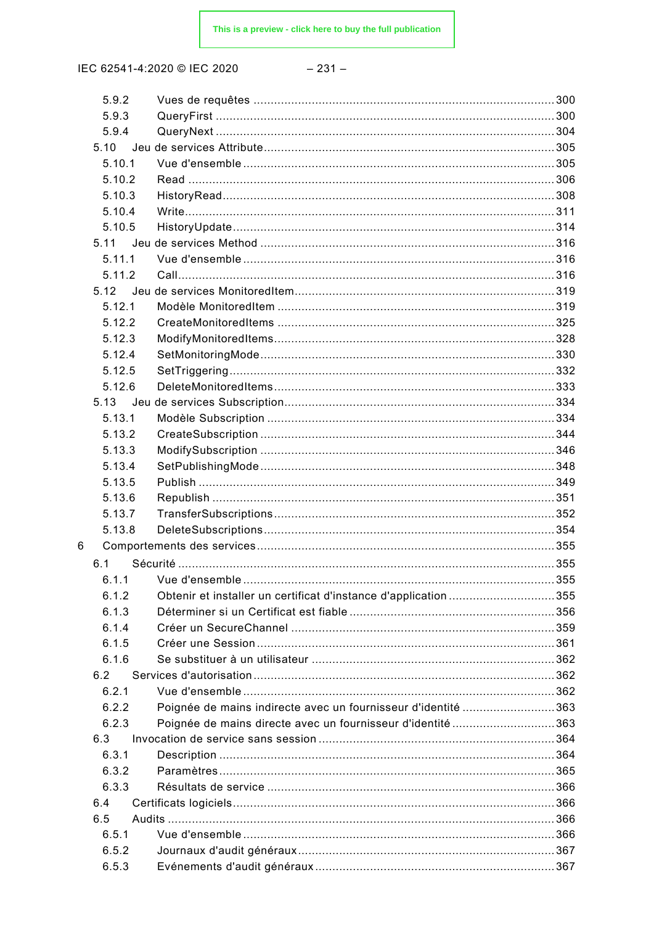|   | 5.9.2  |                                                                 |     |
|---|--------|-----------------------------------------------------------------|-----|
|   | 5.9.3  |                                                                 |     |
|   | 5.9.4  |                                                                 |     |
|   | 5.10   |                                                                 |     |
|   | 5.10.1 |                                                                 |     |
|   | 5.10.2 |                                                                 |     |
|   | 5.10.3 |                                                                 |     |
|   | 5.10.4 |                                                                 |     |
|   | 5.10.5 |                                                                 |     |
|   | 5.11   |                                                                 |     |
|   | 5.11.1 |                                                                 |     |
|   | 5.11.2 |                                                                 |     |
|   | 5.12   |                                                                 |     |
|   | 5.12.1 |                                                                 |     |
|   | 5.12.2 |                                                                 |     |
|   | 5.12.3 |                                                                 |     |
|   | 5.12.4 |                                                                 |     |
|   | 5.12.5 |                                                                 |     |
|   | 5.12.6 |                                                                 |     |
|   | 5.13   |                                                                 |     |
|   | 5.13.1 |                                                                 |     |
|   | 5.13.2 |                                                                 |     |
|   | 5.13.3 |                                                                 |     |
|   | 5.13.4 |                                                                 |     |
|   | 5.13.5 |                                                                 |     |
|   | 5.13.6 |                                                                 |     |
|   | 5.13.7 |                                                                 |     |
|   | 5.13.8 |                                                                 |     |
| 6 |        |                                                                 |     |
|   | 6.1    |                                                                 |     |
|   |        | 6.1.1 Vue d'ensemble.                                           | 355 |
|   | 6.1.2  | Obtenir et installer un certificat d'instance d'application 355 |     |
|   | 6.1.3  |                                                                 |     |
|   | 6.1.4  |                                                                 |     |
|   | 6.1.5  |                                                                 |     |
|   | 6.1.6  |                                                                 |     |
|   | 6.2    |                                                                 |     |
|   | 6.2.1  |                                                                 |     |
|   | 6.2.2  | Poignée de mains indirecte avec un fournisseur d'identité 363   |     |
|   | 6.2.3  | Poignée de mains directe avec un fournisseur d'identité 363     |     |
|   | 6.3    |                                                                 |     |
|   | 6.3.1  |                                                                 |     |
|   | 6.3.2  |                                                                 |     |
|   | 6.3.3  |                                                                 |     |
|   | 6.4    |                                                                 |     |
|   | 6.5    |                                                                 |     |
|   | 6.5.1  |                                                                 |     |
|   | 6.5.2  |                                                                 |     |
|   | 6.5.3  |                                                                 |     |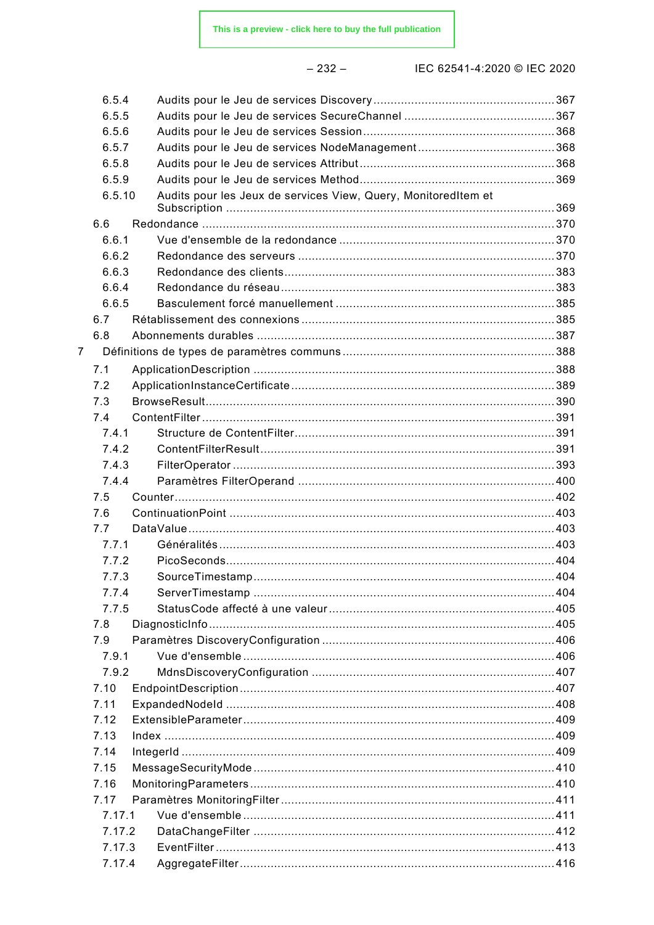# $-232-$

|                | 6.5.4        |                                                                |  |
|----------------|--------------|----------------------------------------------------------------|--|
|                | 6.5.5        |                                                                |  |
|                | 6.5.6        |                                                                |  |
|                | 6.5.7        |                                                                |  |
|                | 6.5.8        |                                                                |  |
|                | 6.5.9        |                                                                |  |
|                | 6.5.10       | Audits pour les Jeux de services View, Query, MonitoredItem et |  |
|                |              |                                                                |  |
|                | 6.6<br>6.6.1 |                                                                |  |
|                | 6.6.2        |                                                                |  |
|                | 6.6.3        |                                                                |  |
|                | 6.6.4        |                                                                |  |
|                | 6.6.5        |                                                                |  |
|                | 6.7          |                                                                |  |
|                | 6.8          |                                                                |  |
| $\overline{7}$ |              |                                                                |  |
|                |              |                                                                |  |
|                | 7.1<br>7.2   |                                                                |  |
|                |              |                                                                |  |
|                | 7.3<br>7.4   |                                                                |  |
|                | 7.4.1        |                                                                |  |
|                | 7.4.2        |                                                                |  |
|                | 7.4.3        |                                                                |  |
|                | 7.4.4        |                                                                |  |
|                | 7.5          |                                                                |  |
|                | 7.6          |                                                                |  |
|                | 7.7          |                                                                |  |
|                | 7.7.1        |                                                                |  |
|                | 7.7.2        |                                                                |  |
|                | 7.7.3        |                                                                |  |
|                | 7.7.4        |                                                                |  |
|                | 7.7.5        |                                                                |  |
|                | 7.8          |                                                                |  |
|                | 7.9          |                                                                |  |
|                | 7.9.1        |                                                                |  |
|                | 7.9.2        |                                                                |  |
|                | 7.10         |                                                                |  |
|                | 7.11         |                                                                |  |
|                | 7.12         |                                                                |  |
|                | 7.13         |                                                                |  |
|                | 7.14         |                                                                |  |
|                | 7.15         |                                                                |  |
|                | 7.16         |                                                                |  |
|                | 7.17         |                                                                |  |
|                | 7.17.1       |                                                                |  |
|                | 7.17.2       |                                                                |  |
|                | 7.17.3       |                                                                |  |
|                | 7.17.4       |                                                                |  |
|                |              |                                                                |  |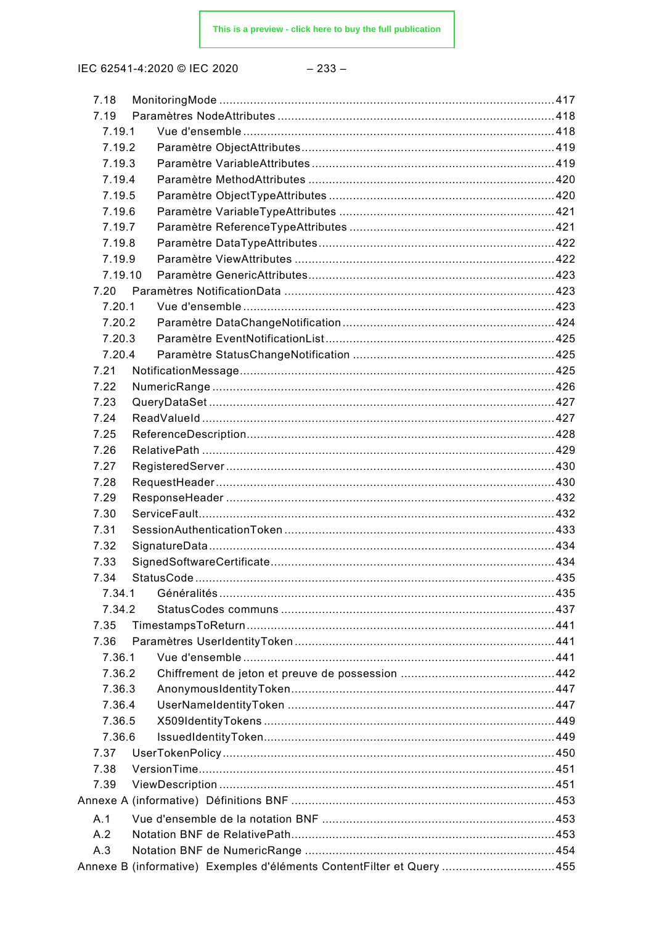| 7.18    |                                                                       |  |
|---------|-----------------------------------------------------------------------|--|
| 7.19    |                                                                       |  |
| 7.19.1  |                                                                       |  |
| 7.19.2  |                                                                       |  |
| 7.19.3  |                                                                       |  |
| 7.19.4  |                                                                       |  |
| 7.19.5  |                                                                       |  |
| 7.19.6  |                                                                       |  |
| 7.19.7  |                                                                       |  |
| 7.19.8  |                                                                       |  |
| 7.19.9  |                                                                       |  |
| 7.19.10 |                                                                       |  |
| 7.20    |                                                                       |  |
| 7.20.1  |                                                                       |  |
| 7.20.2  |                                                                       |  |
| 7.20.3  |                                                                       |  |
| 7.20.4  |                                                                       |  |
| 7.21    |                                                                       |  |
| 7.22    |                                                                       |  |
| 7.23    |                                                                       |  |
| 7.24    |                                                                       |  |
| 7.25    |                                                                       |  |
| 7.26    |                                                                       |  |
| 7.27    |                                                                       |  |
| 7.28    |                                                                       |  |
| 7.29    |                                                                       |  |
| 7.30    |                                                                       |  |
| 7.31    |                                                                       |  |
| 7.32    |                                                                       |  |
| 7.33    |                                                                       |  |
| 7.34    |                                                                       |  |
| 7.34.1  |                                                                       |  |
| 7.34.2  |                                                                       |  |
| 7.35    |                                                                       |  |
| 7.36    |                                                                       |  |
| 7.36.1  |                                                                       |  |
| 7.36.2  |                                                                       |  |
| 7.36.3  |                                                                       |  |
| 7.36.4  |                                                                       |  |
| 7.36.5  |                                                                       |  |
| 7.36.6  |                                                                       |  |
| 7.37    |                                                                       |  |
| 7.38    |                                                                       |  |
| 7.39    |                                                                       |  |
|         |                                                                       |  |
| A.1     |                                                                       |  |
| A.2     |                                                                       |  |
| A.3     |                                                                       |  |
|         | Annexe B (informative) Exemples d'éléments ContentFilter et Query 455 |  |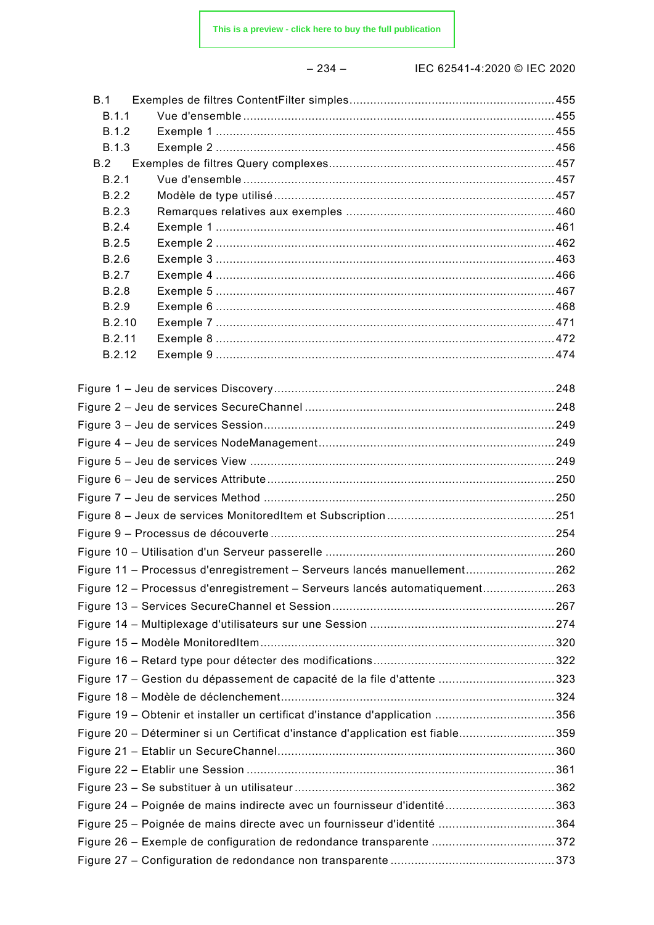– 234 – IEC 62541-4:2020 © IEC 2020

| B.1             |                                                                                |  |
|-----------------|--------------------------------------------------------------------------------|--|
| B.1.1           |                                                                                |  |
| B.1.2           |                                                                                |  |
| B.1.3           |                                                                                |  |
| B.2             |                                                                                |  |
| B.2.1           |                                                                                |  |
| B.2.2           |                                                                                |  |
| B.2.3           |                                                                                |  |
| B.2.4           |                                                                                |  |
| B.2.5           |                                                                                |  |
| B.2.6           |                                                                                |  |
| B.2.7           |                                                                                |  |
| <b>B.2.8</b>    |                                                                                |  |
| B.2.9<br>B.2.10 |                                                                                |  |
| B.2.11          |                                                                                |  |
| B.2.12          |                                                                                |  |
|                 |                                                                                |  |
|                 |                                                                                |  |
|                 |                                                                                |  |
|                 |                                                                                |  |
|                 |                                                                                |  |
|                 |                                                                                |  |
|                 |                                                                                |  |
|                 |                                                                                |  |
|                 |                                                                                |  |
|                 |                                                                                |  |
|                 |                                                                                |  |
|                 |                                                                                |  |
|                 | Figure 11 - Processus d'enregistrement - Serveurs lancés manuellement 262      |  |
|                 | Figure 12 - Processus d'enregistrement - Serveurs lancés automatiquement263    |  |
|                 |                                                                                |  |
|                 |                                                                                |  |
|                 |                                                                                |  |
|                 |                                                                                |  |
|                 | Figure 17 - Gestion du dépassement de capacité de la file d'attente 323        |  |
|                 |                                                                                |  |
|                 | Figure 19 - Obtenir et installer un certificat d'instance d'application 356    |  |
|                 | Figure 20 - Déterminer si un Certificat d'instance d'application est fiable359 |  |
|                 |                                                                                |  |
|                 |                                                                                |  |
|                 |                                                                                |  |
|                 |                                                                                |  |
|                 | Figure 24 - Poignée de mains indirecte avec un fournisseur d'identité363       |  |
|                 | Figure 25 - Poignée de mains directe avec un fournisseur d'identité 364        |  |
|                 | Figure 26 – Exemple de configuration de redondance transparente 372            |  |
|                 |                                                                                |  |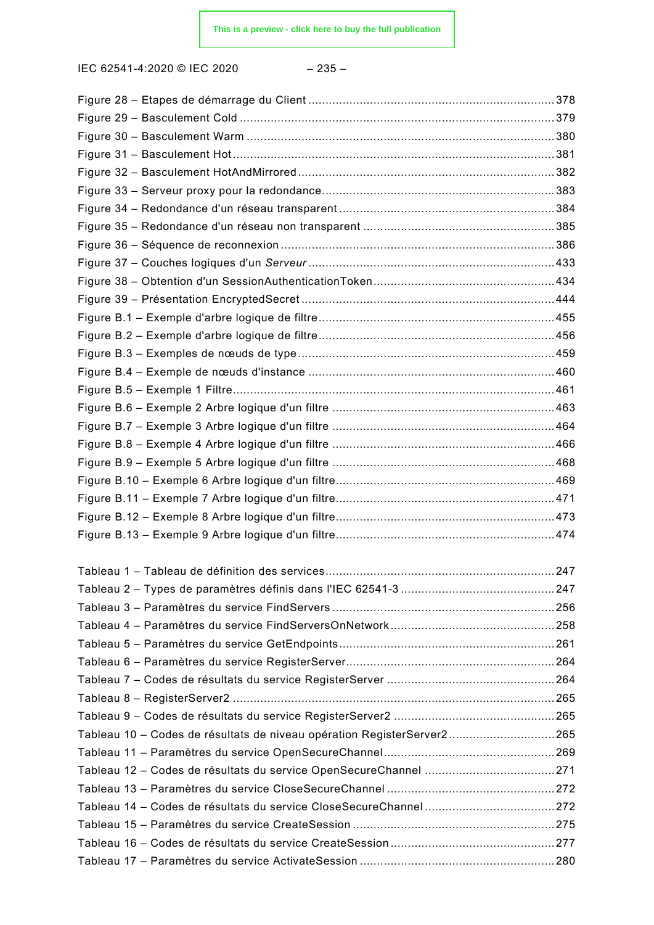IEC 62541-4:2020 © IEC 2020 – 235 –

|--|

| Tableau 10 - Codes de résultats de niveau opération RegisterServer2265 |  |
|------------------------------------------------------------------------|--|
|                                                                        |  |
|                                                                        |  |
|                                                                        |  |
|                                                                        |  |
|                                                                        |  |
|                                                                        |  |
|                                                                        |  |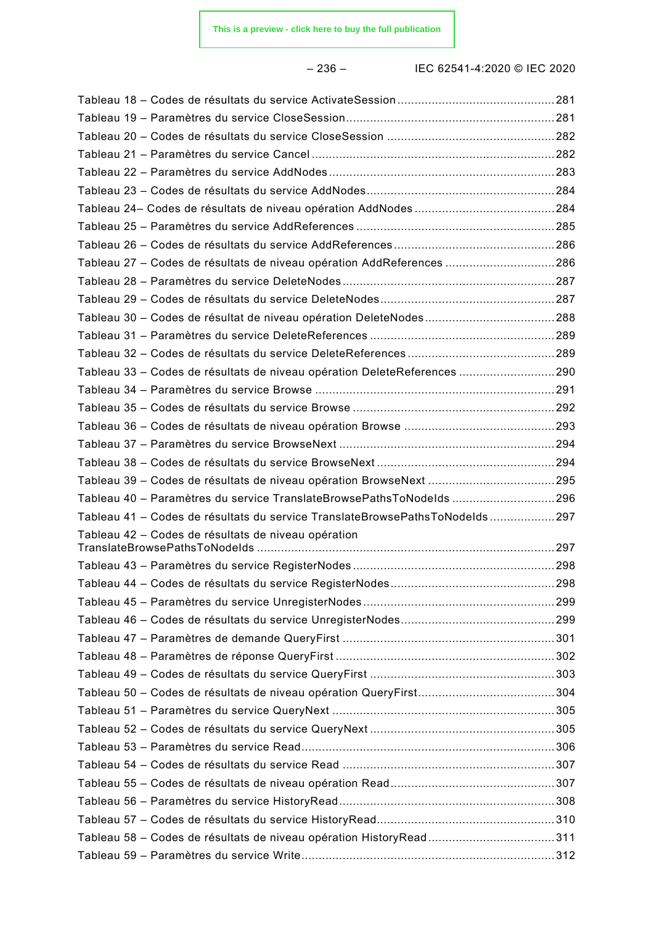– 236 – IEC 62541-4:2020 © IEC 2020

| Tableau 27 - Codes de résultats de niveau opération AddReferences 286       |  |
|-----------------------------------------------------------------------------|--|
|                                                                             |  |
|                                                                             |  |
|                                                                             |  |
|                                                                             |  |
|                                                                             |  |
| Tableau 33 - Codes de résultats de niveau opération DeleteReferences 290    |  |
|                                                                             |  |
|                                                                             |  |
|                                                                             |  |
|                                                                             |  |
|                                                                             |  |
|                                                                             |  |
| Tableau 40 - Paramètres du service TranslateBrowsePathsToNodeIds296         |  |
| Tableau 41 - Codes de résultats du service TranslateBrowsePathsToNodelds297 |  |
| Tableau 42 - Codes de résultats de niveau opération                         |  |
|                                                                             |  |
|                                                                             |  |
|                                                                             |  |
|                                                                             |  |
|                                                                             |  |
|                                                                             |  |
|                                                                             |  |
|                                                                             |  |
|                                                                             |  |
|                                                                             |  |
|                                                                             |  |
|                                                                             |  |
|                                                                             |  |
|                                                                             |  |
|                                                                             |  |
| Tableau 58 - Codes de résultats de niveau opération HistoryRead311          |  |
|                                                                             |  |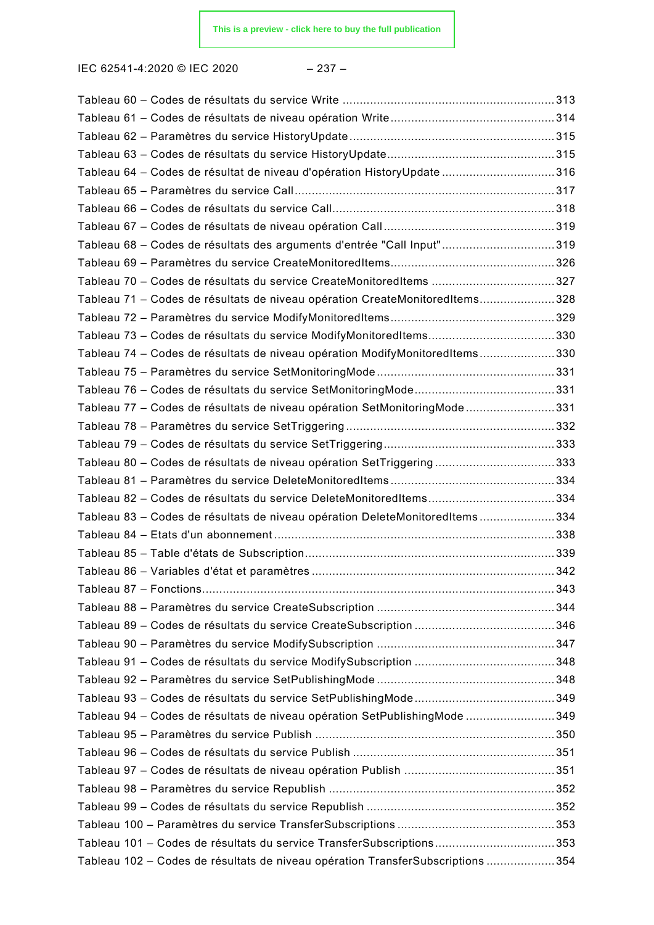IEC 62541-4:2020 © IEC 2020 – 237 –

| Tableau 64 - Codes de résultat de niveau d'opération HistoryUpdate 316         |  |
|--------------------------------------------------------------------------------|--|
|                                                                                |  |
|                                                                                |  |
|                                                                                |  |
| Tableau 68 - Codes de résultats des arguments d'entrée "Call Input"319         |  |
|                                                                                |  |
| Tableau 70 - Codes de résultats du service CreateMonitoredItems 327            |  |
| Tableau 71 - Codes de résultats de niveau opération CreateMonitoredItems328    |  |
|                                                                                |  |
| Tableau 73 - Codes de résultats du service ModifyMonitoredItems330             |  |
| Tableau 74 - Codes de résultats de niveau opération ModifyMonitoredItems330    |  |
|                                                                                |  |
|                                                                                |  |
| Tableau 77 - Codes de résultats de niveau opération SetMonitoringMode331       |  |
|                                                                                |  |
|                                                                                |  |
| Tableau 80 - Codes de résultats de niveau opération SetTriggering333           |  |
|                                                                                |  |
| Tableau 82 - Codes de résultats du service DeleteMonitoredItems334             |  |
| Tableau 83 - Codes de résultats de niveau opération DeleteMonitoredItems334    |  |
|                                                                                |  |
|                                                                                |  |
|                                                                                |  |
|                                                                                |  |
|                                                                                |  |
|                                                                                |  |
|                                                                                |  |
|                                                                                |  |
|                                                                                |  |
|                                                                                |  |
| Tableau 94 - Codes de résultats de niveau opération SetPublishingMode 349      |  |
|                                                                                |  |
|                                                                                |  |
|                                                                                |  |
|                                                                                |  |
|                                                                                |  |
|                                                                                |  |
| Tableau 101 - Codes de résultats du service TransferSubscriptions353           |  |
| Tableau 102 - Codes de résultats de niveau opération TransferSubscriptions 354 |  |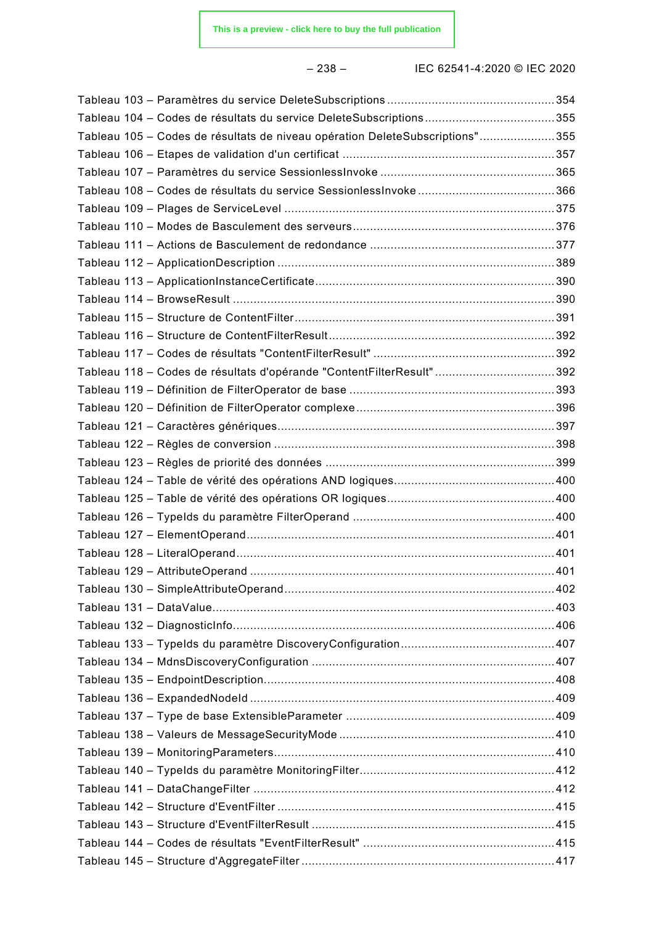– 238 – IEC 62541-4:2020 © IEC 2020

| Tableau 105 - Codes de résultats de niveau opération DeleteSubscriptions"355 |  |
|------------------------------------------------------------------------------|--|
|                                                                              |  |
|                                                                              |  |
|                                                                              |  |
|                                                                              |  |
|                                                                              |  |
|                                                                              |  |
|                                                                              |  |
|                                                                              |  |
|                                                                              |  |
|                                                                              |  |
|                                                                              |  |
|                                                                              |  |
| Tableau 118 - Codes de résultats d'opérande "ContentFilterResult"392         |  |
|                                                                              |  |
|                                                                              |  |
|                                                                              |  |
|                                                                              |  |
|                                                                              |  |
|                                                                              |  |
|                                                                              |  |
|                                                                              |  |
|                                                                              |  |
|                                                                              |  |
|                                                                              |  |
|                                                                              |  |
|                                                                              |  |
|                                                                              |  |
|                                                                              |  |
|                                                                              |  |
|                                                                              |  |
|                                                                              |  |
|                                                                              |  |
|                                                                              |  |
|                                                                              |  |
|                                                                              |  |
|                                                                              |  |
|                                                                              |  |
|                                                                              |  |
|                                                                              |  |
|                                                                              |  |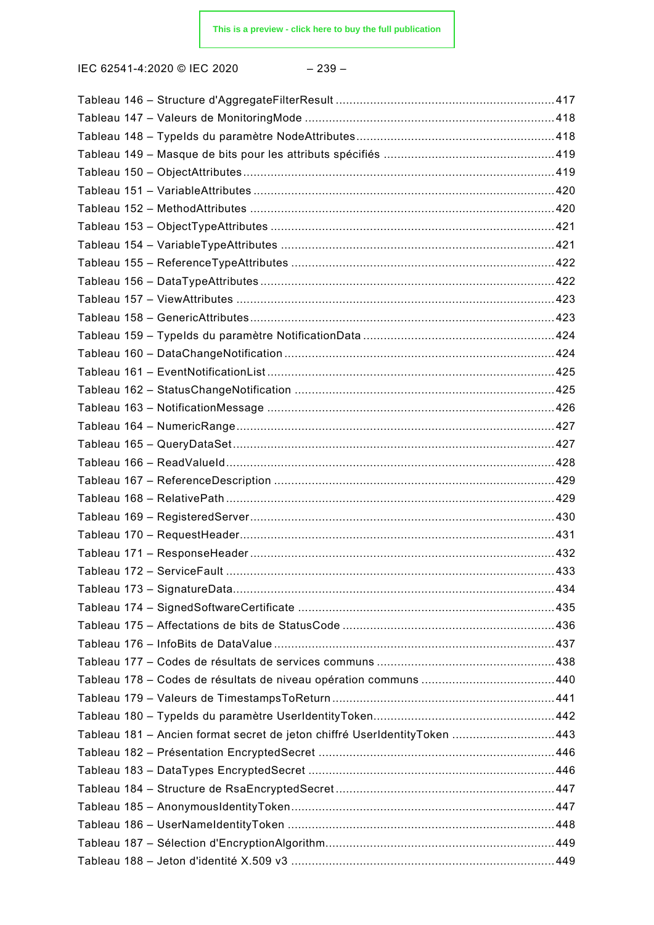IEC 62541-4:2020 © IEC 2020 – 239 –

| Tableau 181 - Ancien format secret de jeton chiffré UserIdentityToken 443 |  |
|---------------------------------------------------------------------------|--|
|                                                                           |  |
|                                                                           |  |
|                                                                           |  |
|                                                                           |  |
|                                                                           |  |
|                                                                           |  |
|                                                                           |  |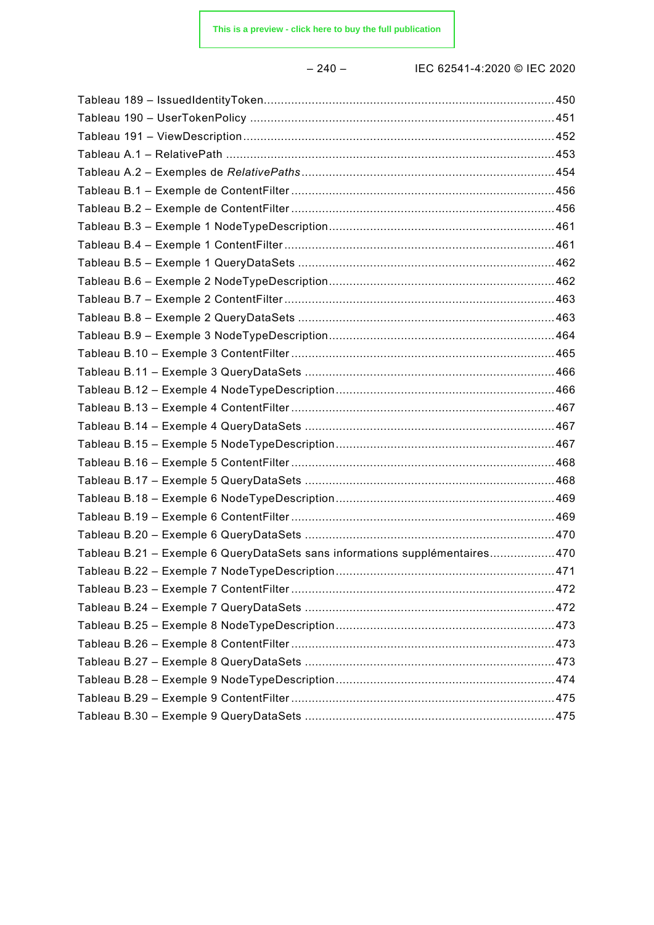– 240 – IEC 62541-4:2020 © IEC 2020

| Tableau B.21 - Exemple 6 QueryDataSets sans informations supplémentaires470 |  |
|-----------------------------------------------------------------------------|--|
|                                                                             |  |
|                                                                             |  |
|                                                                             |  |
|                                                                             |  |
|                                                                             |  |
|                                                                             |  |
|                                                                             |  |
|                                                                             |  |
|                                                                             |  |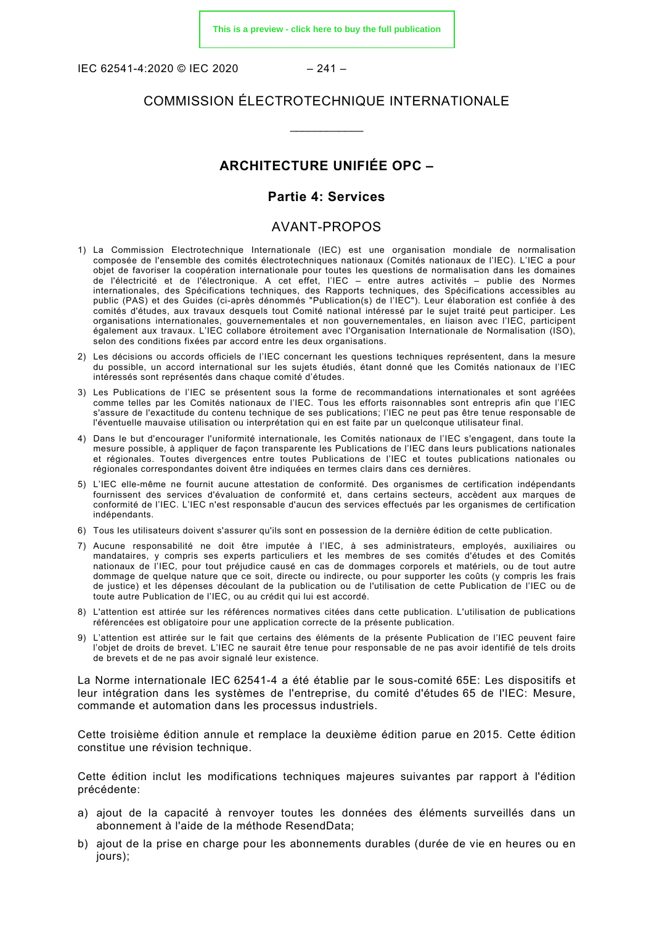IEC 62541-4:2020 © IEC 2020 – 241 –

# COMMISSION ÉLECTROTECHNIQUE INTERNATIONALE

\_\_\_\_\_\_\_\_\_\_\_\_

# **ARCHITECTURE UNIFIÉE OPC –**

# **Partie 4: Services**

## AVANT-PROPOS

- <span id="page-26-0"></span>1) La Commission Electrotechnique Internationale (IEC) est une organisation mondiale de normalisation composée de l'ensemble des comités électrotechniques nationaux (Comités nationaux de l'IEC). L'IEC a pour objet de favoriser la coopération internationale pour toutes les questions de normalisation dans les domaines de l'électricité et de l'électronique. A cet effet, l'IEC – entre autres activités – publie des Normes internationales, des Spécifications techniques, des Rapports techniques, des Spécifications accessibles au public (PAS) et des Guides (ci-après dénommés "Publication(s) de l'IEC"). Leur élaboration est confiée à des comités d'études, aux travaux desquels tout Comité national intéressé par le sujet traité peut participer. Les organisations internationales, gouvernementales et non gouvernementales, en liaison avec l'IEC, participent également aux travaux. L'IEC collabore étroitement avec l'Organisation Internationale de Normalisation (ISO), selon des conditions fixées par accord entre les deux organisations.
- 2) Les décisions ou accords officiels de l'IEC concernant les questions techniques représentent, dans la mesure du possible, un accord international sur les sujets étudiés, étant donné que les Comités nationaux de l'IEC intéressés sont représentés dans chaque comité d'études.
- 3) Les Publications de l'IEC se présentent sous la forme de recommandations internationales et sont agréées comme telles par les Comités nationaux de l'IEC. Tous les efforts raisonnables sont entrepris afin que l'IEC s'assure de l'exactitude du contenu technique de ses publications; l'IEC ne peut pas être tenue responsable de l'éventuelle mauvaise utilisation ou interprétation qui en est faite par un quelconque utilisateur final.
- 4) Dans le but d'encourager l'uniformité internationale, les Comités nationaux de l'IEC s'engagent, dans toute la mesure possible, à appliquer de façon transparente les Publications de l'IEC dans leurs publications nationales et régionales. Toutes divergences entre toutes Publications de l'IEC et toutes publications nationales ou régionales correspondantes doivent être indiquées en termes clairs dans ces dernières.
- 5) L'IEC elle-même ne fournit aucune attestation de conformité. Des organismes de certification indépendants fournissent des services d'évaluation de conformité et, dans certains secteurs, accèdent aux marques de conformité de l'IEC. L'IEC n'est responsable d'aucun des services effectués par les organismes de certification indépendants.
- 6) Tous les utilisateurs doivent s'assurer qu'ils sont en possession de la dernière édition de cette publication.
- 7) Aucune responsabilité ne doit être imputée à l'IEC, à ses administrateurs, employés, auxiliaires ou mandataires, y compris ses experts particuliers et les membres de ses comités d'études et des Comités nationaux de l'IEC, pour tout préjudice causé en cas de dommages corporels et matériels, ou de tout autre dommage de quelque nature que ce soit, directe ou indirecte, ou pour supporter les coûts (y compris les frais de justice) et les dépenses découlant de la publication ou de l'utilisation de cette Publication de l'IEC ou de toute autre Publication de l'IEC, ou au crédit qui lui est accordé.
- 8) L'attention est attirée sur les références normatives citées dans cette publication. L'utilisation de publications référencées est obligatoire pour une application correcte de la présente publication.
- 9) L'attention est attirée sur le fait que certains des éléments de la présente Publication de l'IEC peuvent faire l'objet de droits de brevet. L'IEC ne saurait être tenue pour responsable de ne pas avoir identifié de tels droits de brevets et de ne pas avoir signalé leur existence.

La Norme internationale IEC 62541-4 a été établie par le sous-comité 65E: Les dispositifs et leur intégration dans les systèmes de l'entreprise, du comité d'études 65 de l'IEC: Mesure, commande et automation dans les processus industriels.

Cette troisième édition annule et remplace la deuxième édition parue en 2015. Cette édition constitue une révision technique.

Cette édition inclut les modifications techniques majeures suivantes par rapport à l'édition précédente:

- a) ajout de la capacité à renvoyer toutes les données des éléments surveillés dans un abonnement à l'aide de la méthode ResendData;
- b) ajout de la prise en charge pour les abonnements durables (durée de vie en heures ou en jours);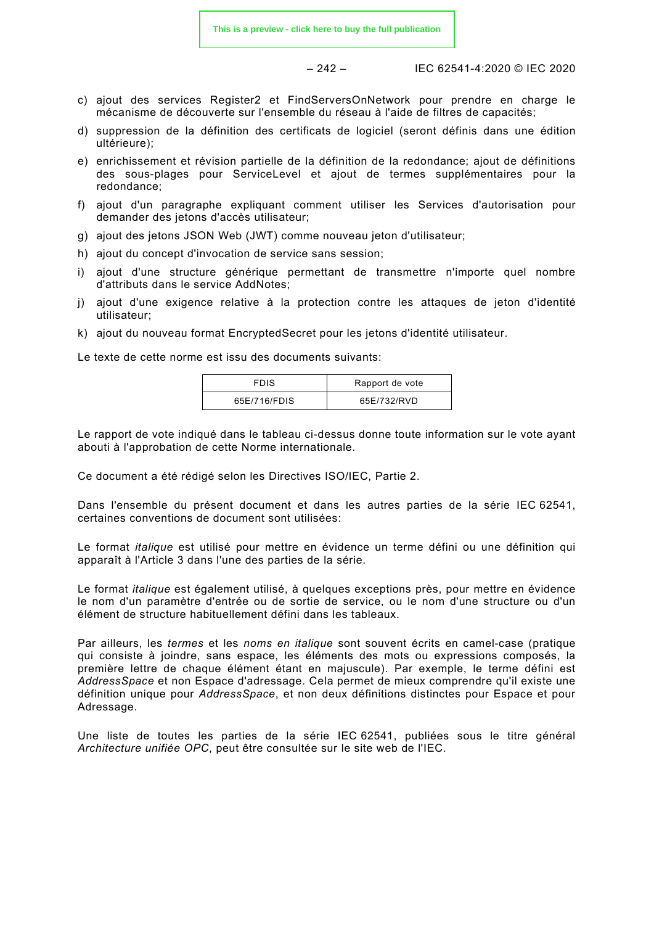$$
-242-
$$

– 242 – IEC 62541-4:2020 © IEC 2020

- c) ajout des services Register2 et FindServersOnNetwork pour prendre en charge le mécanisme de découverte sur l'ensemble du réseau à l'aide de filtres de capacités;
- d) suppression de la définition des certificats de logiciel (seront définis dans une édition ultérieure);
- e) enrichissement et révision partielle de la définition de la redondance; ajout de définitions des sous-plages pour ServiceLevel et ajout de termes supplémentaires pour la redondance;
- f) ajout d'un paragraphe expliquant comment utiliser les Services d'autorisation pour demander des jetons d'accès utilisateur;
- g) ajout des jetons JSON Web (JWT) comme nouveau jeton d'utilisateur;
- h) ajout du concept d'invocation de service sans session;
- i) ajout d'une structure générique permettant de transmettre n'importe quel nombre d'attributs dans le service AddNotes;
- j) ajout d'une exigence relative à la protection contre les attaques de jeton d'identité utilisateur;
- k) ajout du nouveau format EncryptedSecret pour les jetons d'identité utilisateur.

Le texte de cette norme est issu des documents suivants:

| <b>FDIS</b>  | Rapport de vote |
|--------------|-----------------|
| 65E/716/FDIS | 65E/732/RVD     |

Le rapport de vote indiqué dans le tableau ci-dessus donne toute information sur le vote ayant abouti à l'approbation de cette Norme internationale.

Ce document a été rédigé selon les Directives ISO/IEC, Partie 2.

Dans l'ensemble du présent document et dans les autres parties de la série IEC 62541, certaines conventions de document sont utilisées:

Le format *italique* est utilisé pour mettre en évidence un terme défini ou une définition qui apparaît à l'Article 3 dans l'une des parties de la série.

Le format *italique* est également utilisé, à quelques exceptions près, pour mettre en évidence le nom d'un paramètre d'entrée ou de sortie de service, ou le nom d'une structure ou d'un élément de structure habituellement défini dans les tableaux.

Par ailleurs, les *termes* et les *noms en italique* sont souvent écrits en camel-case (pratique qui consiste à joindre, sans espace, les éléments des mots ou expressions composés, la première lettre de chaque élément étant en majuscule). Par exemple, le terme défini est *AddressSpace* et non Espace d'adressage. Cela permet de mieux comprendre qu'il existe une définition unique pour *AddressSpace*, et non deux définitions distinctes pour Espace et pour Adressage.

Une liste de toutes les parties de la série IEC 62541, publiées sous le titre général *Architecture unifiée OPC*, peut être consultée sur le site web de l'IEC.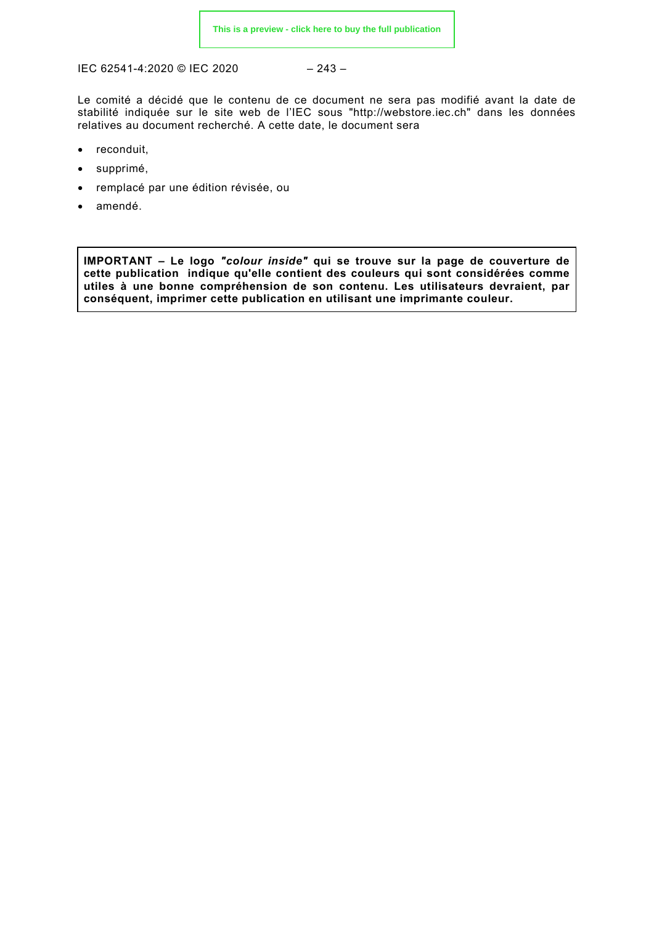IEC 62541-4:2020 © IEC 2020 – 243 –

Le comité a décidé que le contenu de ce document ne sera pas modifié avant la date de stabilité indiquée sur le site web de l'IEC sous "http://webstore.iec.ch" dans les données relatives au document recherché. A cette date, le document sera

- reconduit,
- supprimé,
- remplacé par une édition révisée, ou
- amendé.

**IMPORTANT – Le logo** *"colour inside"* **qui se trouve sur la page de couverture de cette publication indique qu'elle contient des couleurs qui sont considérées comme utiles à une bonne compréhension de son contenu. Les utilisateurs devraient, par conséquent, imprimer cette publication en utilisant une imprimante couleur.**